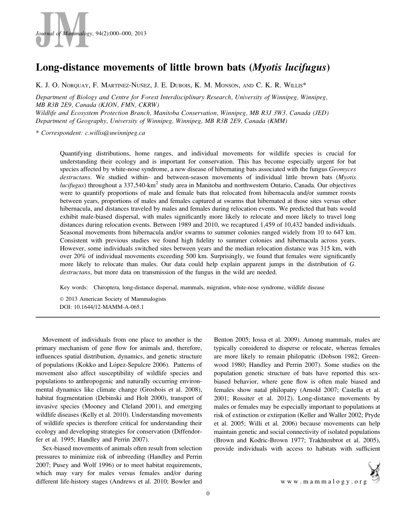

# Long-distance movements of little brown bats (Myotis lucifugus)

K. J. O. NORQUAY, F. MARTINEZ-NUÑEZ, J. E. DUBOIS, K. M. MONSON, AND C. K. R. WILLIS\*

Department of Biology and Centre for Forest Interdisciplinary Research, University of Winnipeg, Winnipeg, MB R3B 2E9, Canada (KJON, FMN, CKRW) Wildlife and Ecosystem Protection Branch, Manitoba Conservation, Winnipeg, MB R3J 3W3, Canada (JED)

Department of Geography, University of Winnipeg, Winnipeg, MB R3B 2E9, Canada (KMM)

\* Correspondent: c.willis@uwinnipeg.ca

Quantifying distributions, home ranges, and individual movements for wildlife species is crucial for understanding their ecology and is important for conservation. This has become especially urgent for bat species affected by white-nose syndrome, a new disease of hibernating bats associated with the fungus *Geomyces* destructans. We studied within- and between-season movements of individual little brown bats (Myotis *lucifugus*) throughout a  $337,540$ -km<sup>2</sup> study area in Manitoba and northwestern Ontario, Canada. Our objectives were to quantify proportions of male and female bats that relocated from hibernacula and/or summer roosts between years, proportions of males and females captured at swarms that hibernated at those sites versus other hibernacula, and distances traveled by males and females during relocation events. We predicted that bats would exhibit male-biased dispersal, with males significantly more likely to relocate and more likely to travel long distances during relocation events. Between 1989 and 2010, we recaptured 1,459 of 10,432 banded individuals. Seasonal movements from hibernacula and/or swarms to summer colonies ranged widely from 10 to 647 km. Consistent with previous studies we found high fidelity to summer colonies and hibernacula across years. However, some individuals switched sites between years and the median relocation distance was 315 km, with over 20% of individual movements exceeding 500 km. Surprisingly, we found that females were significantly more likely to relocate than males. Our data could help explain apparent jumps in the distribution of G. destructans, but more data on transmission of the fungus in the wild are needed.

Key words: Chiroptera, long-distance dispersal, mammals, migration, white-nose syndrome, wildlife disease

 $© 2013$  American Society of Mammalogists DOI: 10.1644/12-MAMM-A-065.1

Movement of individuals from one place to another is the primary mechanism of gene flow for animals and, therefore, influences spatial distribution, dynamics, and genetic structure of populations (Kokko and López-Sepulcre 2006). Patterns of movement also affect susceptibility of wildlife species and populations to anthropogenic and naturally occurring environmental dynamics like climate change (Grosbois et al. 2008), habitat fragmentation (Debinski and Holt 2000), transport of invasive species (Mooney and Cleland 2001), and emerging wildlife diseases (Kelly et al. 2010). Understanding movements of wildlife species is therefore critical for understanding their ecology and developing strategies for conservation (Diffendorfer et al. 1995; Handley and Perrin 2007).

Sex-biased movements of animals often result from selection pressures to minimize risk of inbreeding (Handley and Perrin 2007; Pusey and Wolf 1996) or to meet habitat requirements, which may vary for males versus females and/or during different life-history stages (Andrews et al. 2010; Bowler and Benton 2005; Iossa et al. 2009). Among mammals, males are typically considered to disperse or relocate, whereas females are more likely to remain philopatric (Dobson 1982; Greenwood 1980; Handley and Perrin 2007). Some studies on the population genetic structure of bats have reported this sexbiased behavior, where gene flow is often male biased and females show natal philopatry (Arnold 2007; Castella et al. 2001; Rossiter et al. 2012). Long-distance movements by males or females may be especially important to populations at risk of extinction or extirpation (Keller and Waller 2002; Pryde et al. 2005; Willi et al. 2006) because movements can help maintain genetic and social connectivity of isolated populations (Brown and Kodric-Brown 1977; Trakhtenbrot et al. 2005), provide individuals with access to habitats with sufficient

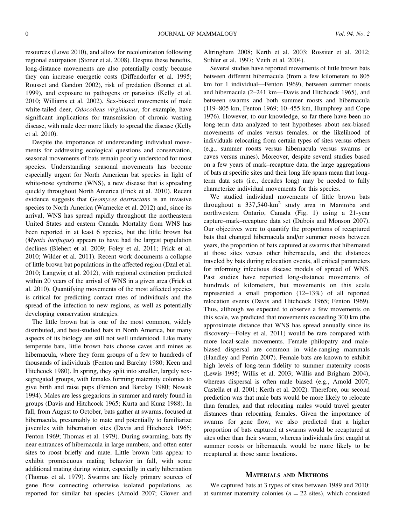resources (Lowe 2010), and allow for recolonization following regional extirpation (Stoner et al. 2008). Despite these benefits, long-distance movements are also potentially costly because they can increase energetic costs (Diffendorfer et al. 1995; Rousset and Gandon 2002), risk of predation (Bonnet et al. 1999), and exposure to pathogens or parasites (Kelly et al. 2010; Williams et al. 2002). Sex-biased movements of male white-tailed deer, Odocoileus virginianus, for example, have significant implications for transmission of chronic wasting disease, with male deer more likely to spread the disease (Kelly et al. 2010).

Despite the importance of understanding individual movements for addressing ecological questions and conservation, seasonal movements of bats remain poorly understood for most species. Understanding seasonal movements has become especially urgent for North American bat species in light of white-nose syndrome (WNS), a new disease that is spreading quickly throughout North America (Frick et al. 2010). Recent evidence suggests that Geomyces destructans is an invasive species to North America (Warnecke et al. 2012) and, since its arrival, WNS has spread rapidly throughout the northeastern United States and eastern Canada. Mortality from WNS has been reported in at least 6 species, but the little brown bat (Myotis lucifugus) appears to have had the largest population declines (Blehert et al. 2009; Foley et al. 2011; Frick et al. 2010; Wilder et al. 2011). Recent work documents a collapse of little brown bat populations in the affected region (Dzal et al. 2010; Langwig et al. 2012), with regional extinction predicted within 20 years of the arrival of WNS in a given area (Frick et al. 2010). Quantifying movements of the most affected species is critical for predicting contact rates of individuals and the spread of the infection to new regions, as well as potentially developing conservation strategies.

The little brown bat is one of the most common, widely distributed, and best-studied bats in North America, but many aspects of its biology are still not well understood. Like many temperate bats, little brown bats choose caves and mines as hibernacula, where they form groups of a few to hundreds of thousands of individuals (Fenton and Barclay 1980; Keen and Hitchcock 1980). In spring, they split into smaller, largely sexsegregated groups, with females forming maternity colonies to give birth and raise pups (Fenton and Barclay 1980; Nowak 1994). Males are less gregarious in summer and rarely found in groups (Davis and Hitchcock 1965; Kurta and Kunz 1988). In fall, from August to October, bats gather at swarms, focused at hibernacula, presumably to mate and potentially to familiarize juveniles with hibernation sites (Davis and Hitchcock 1965; Fenton 1969; Thomas et al. 1979). During swarming, bats fly near entrances of hibernacula in large numbers, and often enter sites to roost briefly and mate. Little brown bats appear to exhibit promiscuous mating behavior in fall, with some additional mating during winter, especially in early hibernation (Thomas et al. 1979). Swarms are likely primary sources of gene flow connecting otherwise isolated populations, as reported for similar bat species (Arnold 2007; Glover and

Altringham 2008; Kerth et al. 2003; Rossiter et al. 2012; Stihler et al. 1997; Veith et al. 2004).

Several studies have reported movements of little brown bats between different hibernacula (from a few kilometers to 805 km for 1 individual—Fenton 1969), between summer roosts and hibernacula (2–241 km—Davis and Hitchcock 1965), and between swarms and both summer roosts and hibernacula (119–805 km, Fenton 1969; 10–455 km, Humphrey and Cope 1976). However, to our knowledge, so far there have been no long-term data analyzed to test hypotheses about sex-biased movements of males versus females, or the likelihood of individuals relocating from certain types of sites versus others (e.g., summer roosts versus hibernacula versus swarms or caves versus mines). Moreover, despite several studies based on a few years of mark–recapture data, the large aggregations of bats at specific sites and their long life spans mean that longterm data sets (i.e., decades long) may be needed to fully characterize individual movements for this species.

We studied individual movements of little brown bats throughout a  $337,540\text{-}km^2$  study area in Manitoba and northwestern Ontario, Canada (Fig. 1) using a 21-year capture–mark–recapture data set (Dubois and Monson 2007). Our objectives were to quantify the proportions of recaptured bats that changed hibernacula and/or summer roosts between years, the proportion of bats captured at swarms that hibernated at those sites versus other hibernacula, and the distances traveled by bats during relocation events, all critical parameters for informing infectious disease models of spread of WNS. Past studies have reported long-distance movements of hundreds of kilometers, but movements on this scale represented a small proportion (12–13%) of all reported relocation events (Davis and Hitchcock 1965; Fenton 1969). Thus, although we expected to observe a few movements on this scale, we predicted that movements exceeding 300 km (the approximate distance that WNS has spread annually since its discovery—Foley et al. 2011) would be rare compared with more local-scale movements. Female philopatry and malebiased dispersal are common in wide-ranging mammals (Handley and Perrin 2007). Female bats are known to exhibit high levels of long-term fidelity to summer maternity roosts (Lewis 1995; Willis et al. 2003; Willis and Brigham 2004), whereas dispersal is often male biased (e.g., Arnold 2007; Castella et al. 2001; Kerth et al. 2002). Therefore, our second prediction was that male bats would be more likely to relocate than females, and that relocating males would travel greater distances than relocating females. Given the importance of swarms for gene flow, we also predicted that a higher proportion of bats captured at swarms would be recaptured at sites other than their swarm, whereas individuals first caught at summer roosts or hibernacula would be more likely to be recaptured at those same locations.

#### MATERIALS AND METHODS

We captured bats at 3 types of sites between 1989 and 2010: at summer maternity colonies ( $n = 22$  sites), which consisted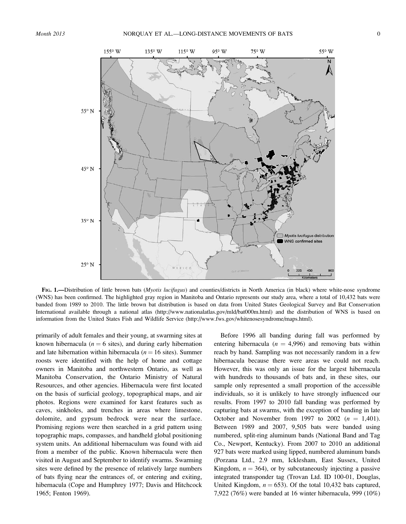

FIG. 1.—Distribution of little brown bats (Myotis lucifugus) and counties/districts in North America (in black) where white-nose syndrome (WNS) has been confirmed. The highlighted gray region in Manitoba and Ontario represents our study area, where a total of 10,432 bats were banded from 1989 to 2010. The little brown bat distribution is based on data from United States Geological Survey and Bat Conservation International available through a national atlas (http://www.nationalatlas.gov/mld/bat000m.html) and the distribution of WNS is based on information from the United States Fish and Wildlife Service (http://www.fws.gov/whitenosesyndrome/maps.html).

primarily of adult females and their young, at swarming sites at known hibernacula ( $n = 6$  sites), and during early hibernation and late hibernation within hibernacula ( $n = 16$  sites). Summer roosts were identified with the help of home and cottage owners in Manitoba and northwestern Ontario, as well as Manitoba Conservation, the Ontario Ministry of Natural Resources, and other agencies. Hibernacula were first located on the basis of surficial geology, topographical maps, and air photos. Regions were examined for karst features such as caves, sinkholes, and trenches in areas where limestone, dolomite, and gypsum bedrock were near the surface. Promising regions were then searched in a grid pattern using topographic maps, compasses, and handheld global positioning system units. An additional hibernaculum was found with aid from a member of the public. Known hibernacula were then visited in August and September to identify swarms. Swarming sites were defined by the presence of relatively large numbers of bats flying near the entrances of, or entering and exiting, hibernacula (Cope and Humphrey 1977; Davis and Hitchcock 1965; Fenton 1969).

Before 1996 all banding during fall was performed by entering hibernacula ( $n = 4,996$ ) and removing bats within reach by hand. Sampling was not necessarily random in a few hibernacula because there were areas we could not reach. However, this was only an issue for the largest hibernacula with hundreds to thousands of bats and, in these sites, our sample only represented a small proportion of the accessible individuals, so it is unlikely to have strongly influenced our results. From 1997 to 2010 fall banding was performed by capturing bats at swarms, with the exception of banding in late October and November from 1997 to 2002 ( $n = 1,401$ ). Between 1989 and 2007, 9,505 bats were banded using numbered, split-ring aluminum bands (National Band and Tag Co., Newport, Kentucky). From 2007 to 2010 an additional 927 bats were marked using lipped, numbered aluminum bands (Porzana Ltd., 2.9 mm, Icklesham, East Sussex, United Kingdom,  $n = 364$ ), or by subcutaneously injecting a passive integrated transponder tag (Trovan Ltd. ID 100-01, Douglas, United Kingdom,  $n = 653$ ). Of the total 10,432 bats captured, 7,922 (76%) were banded at 16 winter hibernacula, 999 (10%)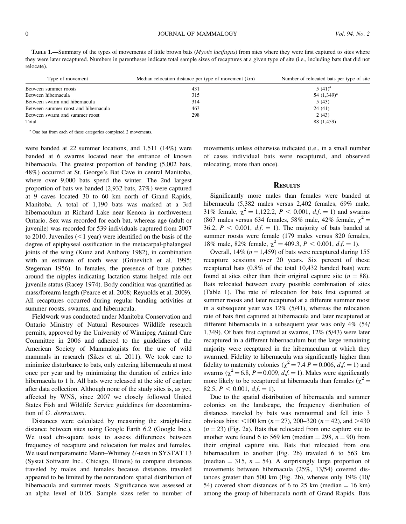TABLE 1.—Summary of the types of movements of little brown bats (*Myotis lucifugus*) from sites where they were first captured to sites where they were later recaptured. Numbers in parentheses indicate total sample sizes of recaptures at a given type of site (i.e., including bats that did not relocate).

| Type of movement                     | Median relocation distance per type of movement (km) | Number of relocated bats per type of site |
|--------------------------------------|------------------------------------------------------|-------------------------------------------|
| Between summer roosts                | 431                                                  | $5(41)^a$                                 |
| Between hibernacula                  | 315                                                  | 54 $(1,349)^a$                            |
| Between swarm and hibernacula        | 314                                                  | 5(43)                                     |
| Between summer roost and hibernacula | 463                                                  | 24(41)                                    |
| Between swarm and summer roost       | 298                                                  | 2(43)                                     |
| Total                                |                                                      | 88 (1,459)                                |

<sup>a</sup> One bat from each of these categories completed 2 movements.

were banded at 22 summer locations, and 1,511 (14%) were banded at 6 swarms located near the entrance of known hibernacula. The greatest proportion of banding  $(5,002)$  bats, 48%) occurred at St. George's Bat Cave in central Manitoba, where over 9,000 bats spend the winter. The 2nd largest proportion of bats we banded (2,932 bats, 27%) were captured at 9 caves located 30 to 60 km north of Grand Rapids, Manitoba. A total of 1,190 bats was marked at a 3rd hibernaculum at Richard Lake near Kenora in northwestern Ontario. Sex was recorded for each bat, whereas age (adult or juvenile) was recorded for 539 individuals captured from 2007 to 2010. Juveniles  $(<1$  year) were identified on the basis of the degree of epiphyseal ossification in the metacarpal-phalangeal joints of the wing (Kunz and Anthony 1982), in combination with an estimate of tooth wear (Grinevitch et al. 1995; Stegeman 1956). In females, the presence of bare patches around the nipples indicating lactation status helped rule out juvenile status (Racey 1974). Body condition was quantified as mass/forearm length (Pearce et al. 2008; Reynolds et al. 2009). All recaptures occurred during regular banding activities at summer roosts, swarms, and hibernacula.

Fieldwork was conducted under Manitoba Conservation and Ontario Ministry of Natural Resources Wildlife research permits, approved by the University of Winnipeg Animal Care Committee in 2006 and adhered to the guidelines of the American Society of Mammalogists for the use of wild mammals in research (Sikes et al. 2011). We took care to minimize disturbance to bats, only entering hibernacula at most once per year and by minimizing the duration of entries into hibernacula to 1 h. All bats were released at the site of capture after data collection. Although none of the study sites is, as yet, affected by WNS, since 2007 we closely followed United States Fish and Wildlife Service guidelines for decontamination of G. destructans.

Distances were calculated by measuring the straight-line distance between sites using Google Earth 6.2 (Google Inc.). We used chi-square tests to assess differences between frequency of recapture and relocation for males and females. We used nonparametric Mann–Whitney U-tests in SYSTAT 13 (Systat Software Inc., Chicago, Illinois) to compare distances traveled by males and females because distances traveled appeared to be limited by the nonrandom spatial distribution of hibernacula and summer roosts. Significance was assessed at an alpha level of 0.05. Sample sizes refer to number of

movements unless otherwise indicated (i.e., in a small number of cases individual bats were recaptured, and observed relocating, more than once).

## **RESULTS**

Significantly more males than females were banded at hibernacula (5,382 males versus 2,402 females, 69% male, 31% female,  $\chi^2 = 1,122.2, P < 0.001, df = 1$  and swarms (867 males versus 634 females, 58% male, 42% female,  $\chi^2$  = 36.2,  $P < 0.001$ ,  $df = 1$ ). The majority of bats banded at summer roosts were female (179 males versus 820 females, 18% male, 82% female,  $\chi^2 = 409.3$ ,  $P < 0.001$ ,  $df = 1$ ).

Overall, 14% ( $n = 1,459$ ) of bats were recaptured during 155 recapture sessions over 20 years. Six percent of these recaptured bats (0.8% of the total 10,432 banded bats) were found at sites other than their original capture site ( $n = 88$ ). Bats relocated between every possible combination of sites (Table 1). The rate of relocation for bats first captured at summer roosts and later recaptured at a different summer roost in a subsequent year was 12% (5/41), whereas the relocation rate of bats first captured at hibernacula and later recaptured at different hibernacula in a subsequent year was only 4% (54/ 1,349). Of bats first captured at swarms, 12% (5/43) were later recaptured in a different hibernaculum but the large remaining majority were recaptured in the hibernaculum at which they swarmed. Fidelity to hibernacula was significantly higher than fidelity to maternity colonies ( $\chi^2$  = 7.4 P = 0.006, d.f. = 1) and swarms ( $\chi^2$  = 6.8, P = 0.009, d.f. = 1). Males were significantly more likely to be recaptured at hibernacula than females ( $\chi^2$  = 82.5,  $P < 0.001$ ,  $df = 1$ ).

Due to the spatial distribution of hibernacula and summer colonies on the landscape, the frequency distribution of distances traveled by bats was nonnormal and fell into 3 obvious bins:  $\lt 100$  km (n = 27), 200–320 (n = 42), and  $>430$  $(n = 23)$  (Fig. 2a). Bats that relocated from one capture site to another were found 6 to 569 km (median  $=$  298,  $n = 90$ ) from their original capture site. Bats that relocated from one hibernaculum to another (Fig. 2b) traveled 6 to 563 km (median  $=$  315,  $n = 54$ ). A surprisingly large proportion of movements between hibernacula (25%, 13/54) covered distances greater than 500 km (Fig. 2b), whereas only 19% (10/ 54) covered short distances of 6 to 25 km (median  $= 16$  km) among the group of hibernacula north of Grand Rapids. Bats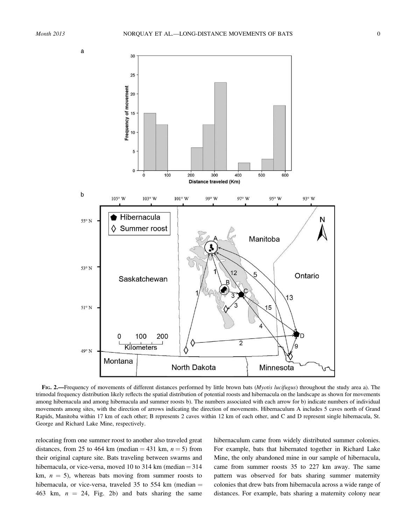



FIG. 2.—Frequency of movements of different distances performed by little brown bats (Myotis lucifugus) throughout the study area a). The trimodal frequency distribution likely reflects the spatial distribution of potential roosts and hibernacula on the landscape as shown for movements among hibernacula and among hibernacula and summer roosts b). The numbers associated with each arrow for b) indicate numbers of individual movements among sites, with the direction of arrows indicating the direction of movements. Hibernaculum A includes 5 caves north of Grand Rapids, Manitoba within 17 km of each other; B represents 2 caves within 12 km of each other, and C and D represent single hibernacula, St. George and Richard Lake Mine, respectively.

relocating from one summer roost to another also traveled great distances, from 25 to 464 km (median  $=$  431 km,  $n = 5$ ) from their original capture site. Bats traveling between swarms and hibernacula, or vice-versa, moved 10 to 314 km (median  $=$  314 km,  $n = 5$ ), whereas bats moving from summer roosts to hibernacula, or vice-versa, traveled 35 to 554 km (median  $=$ 463 km,  $n = 24$ , Fig. 2b) and bats sharing the same

hibernaculum came from widely distributed summer colonies. For example, bats that hibernated together in Richard Lake Mine, the only abandoned mine in our sample of hibernacula, came from summer roosts 35 to 227 km away. The same pattern was observed for bats sharing summer maternity colonies that drew bats from hibernacula across a wide range of distances. For example, bats sharing a maternity colony near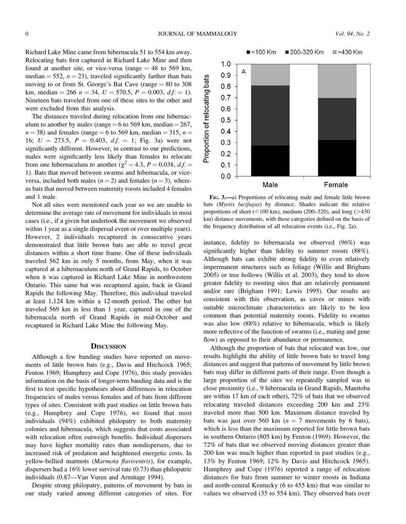Richard Lake Mine came from hibernacula 51 to 554 km away. Relocating bats first captured in Richard Lake Mine and then found at another site, or vice-versa (range  $= 48$  to 569 km, median = 552,  $n = 23$ ), traveled significantly farther than bats moving to or from St. George's Bat Cave (range  $= 80$  to 308 km, median  $= 266$   $n = 34$ ,  $U = 570.5$ ,  $P = 0.003$ ,  $d.f. = 1$ ). Nineteen bats traveled from one of these sites to the other and were excluded from this analysis.

The distances traveled during relocation from one hibernaculum to another by males (range  $= 6$  to 569 km, median  $= 267$ ,  $n = 38$ ) and females (range = 6 to 569 km, median = 315,  $n =$ 16;  $U = 273.5$ ,  $P = 0.403$ ,  $df = 1$ ; Fig. 3a) were not significantly different. However, in contrast to our predictions, males were significantly less likely than females to relocate from one hibernaculum to another ( $\chi^2 = 4.3$ ,  $P = 0.038$ , d.f. = 1). Bats that moved between swarms and hibernacula, or viceversa, included both males ( $n = 2$ ) and females ( $n = 3$ ), whereas bats that moved between maternity roosts included 4 females and 1 male.

Not all sites were monitored each year so we are unable to determine the average rate of movement for individuals in most cases (i.e., if a given bat undertook the movement we observed within 1 year as a single dispersal event or over multiple years). However, 2 individuals recaptured in consecutive years demonstrated that little brown bats are able to travel great distances within a short time frame. One of these individuals traveled 562 km in only 5 months, from May, when it was captured at a hibernaculum north of Grand Rapids, to October when it was captured in Richard Lake Mine in northwestern Ontario. This same bat was recaptured again, back in Grand Rapids the following May. Therefore, this individual traveled at least 1,124 km within a 12-month period. The other bat traveled 569 km in less than 1 year, captured in one of the hibernacula north of Grand Rapids in mid-October and recaptured in Richard Lake Mine the following May.

#### **DISCUSSION**

Although a few banding studies have reported on movements of little brown bats (e.g., Davis and Hitchcock 1965; Fenton 1969; Humphrey and Cope 1976), this study provides information on the basis of longer-term banding data and is the first to test specific hypotheses about differences in relocation frequencies of males versus females and of bats from different types of sites. Consistent with past studies on little brown bats (e.g., Humphrey and Cope 1976), we found that most individuals (94%) exhibited philopatry to both maternity colonies and hibernacula, which suggests that costs associated with relocation often outweigh benefits. Individual dispersers may have higher mortality rates than nondispersers, due to increased risk of predation and heightened energetic costs. In yellow-bellied marmots (Marmota flaviventris), for example, dispersers had a 16% lower survival rate (0.73) than philopatric individuals (0.87—Van Vuren and Armitage 1994).

Despite strong philopatry, patterns of movement by bats in our study varied among different categories of sites. For



FIG. 3.—a) Proportions of relocating male and female little brown bats (Myotis lucifugus) by distance. Shades indicate the relative proportions of short ( $<$ 100 km), medium (200–320), and long ( $>$ 430 km) distance movements, with these categories defined on the basis of the frequency distribution of all relocation events (i.e., Fig. 2a).

instance, fidelity to hibernacula we observed (96%) was significantly higher than fidelity to summer roosts (88%). Although bats can exhibit strong fidelity to even relatively impermanent structures such as foliage (Willis and Brigham 2005) or tree hollows (Willis et al. 2003), they tend to show greater fidelity to roosting sites that are relatively permanent and/or rare (Brigham 1991; Lewis 1995). Our results are consistent with this observation, as caves or mines with suitable microclimate characteristics are likely to be less common than potential maternity roosts. Fidelity to swarms was also low (88%) relative to hibernacula, which is likely more reflective of the function of swarms (i.e., mating and gene flow) as opposed to their abundance or permanence.

Although the proportion of bats that relocated was low, our results highlight the ability of little brown bats to travel long distances and suggest that patterns of movement by little brown bats may differ in different parts of their range. Even though a large proportion of the sites we repeatedly sampled was in close proximity (i.e., 9 hibernacula in Grand Rapids, Manitoba are within 17 km of each other), 72% of bats that we observed relocating traveled distances exceeding 200 km and 23% traveled more than 500 km. Maximum distance traveled by bats was just over 560 km ( $n = 7$  movements by 6 bats), which is less than the maximum reported for little brown bats in southern Ontario (805 km) by Fenton (1969). However, the 72% of bats that we observed moving distances greater than 200 km was much higher than reported in past studies (e.g., 13% by Fenton 1969; 12% by Davis and Hitchcock 1965). Humphrey and Cope (1976) reported a range of relocation distances for bats from summer to winter roosts in Indiana and north-central Kentucky (6 to 455 km) that was similar to values we observed (35 to 554 km). They observed bats over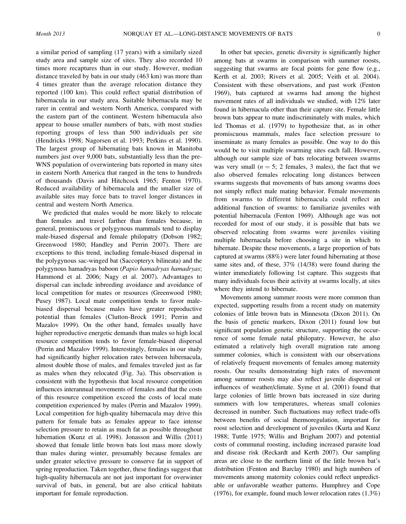a similar period of sampling (17 years) with a similarly sized study area and sample size of sites. They also recorded 10 times more recaptures than in our study. However, median distance traveled by bats in our study (463 km) was more than 4 times greater than the average relocation distance they reported (100 km). This could reflect spatial distribution of hibernacula in our study area. Suitable hibernacula may be rarer in central and western North America, compared with the eastern part of the continent. Western hibernacula also appear to house smaller numbers of bats, with most studies reporting groups of less than 500 individuals per site (Hendricks 1998; Nagorsen et al. 1993; Perkins et al. 1990). The largest group of hibernating bats known in Manitoba numbers just over 9,000 bats, substantially less than the pre-WNS population of overwintering bats reported in many sites in eastern North America that ranged in the tens to hundreds of thousands (Davis and Hitchcock 1965; Fenton 1970). Reduced availability of hibernacula and the smaller size of available sites may force bats to travel longer distances in central and western North America.

We predicted that males would be more likely to relocate than females and travel farther than females because, in general, promiscuous or polygynous mammals tend to display male-biased dispersal and female philopatry (Dobson 1982; Greenwood 1980; Handley and Perrin 2007). There are exceptions to this trend, including female-biased dispersal in the polygynous sac-winged bat (Saccopteryx bilineata) and the polygynous hamadryas baboon (Papio hamadryas hamadryas; Hammond et al. 2006; Nagy et al. 2007). Advantages to dispersal can include inbreeding avoidance and avoidance of local competition for mates or resources (Greenwood 1980; Pusey 1987). Local mate competition tends to favor malebiased dispersal because males have greater reproductive potential than females (Clutton-Brock 1991; Perrin and Mazalov 1999). On the other hand, females usually have higher reproductive energetic demands than males so high local resource competition tends to favor female-biased dispersal (Perrin and Mazalov 1999). Interestingly, females in our study had significantly higher relocation rates between hibernacula, almost double those of males, and females traveled just as far as males when they relocated (Fig. 3a). This observation is consistent with the hypothesis that local resource competition influences interannual movements of females and that the costs of this resource competition exceed the costs of local mate competition experienced by males (Perrin and Mazalov 1999). Local competition for high-quality hibernacula may drive this pattern for female bats as females appear to face intense selection pressure to retain as much fat as possible throughout hibernation (Kunz et al. 1998). Jonasson and Willis (2011) showed that female little brown bats lost mass more slowly than males during winter, presumably because females are under greater selective pressure to conserve fat in support of spring reproduction. Taken together, these findings suggest that high-quality hibernacula are not just important for overwinter survival of bats, in general, but are also critical habitats important for female reproduction.

In other bat species, genetic diversity is significantly higher among bats at swarms in comparison with summer roosts, suggesting that swarms are focal points for gene flow (e.g., Kerth et al. 2003; Rivers et al. 2005; Veith et al. 2004). Consistent with these observations, and past work (Fenton 1969), bats captured at swarms had among the highest movement rates of all individuals we studied, with 12% later found in hibernacula other than their capture site. Female little brown bats appear to mate indiscriminately with males, which led Thomas et al. (1979) to hypothesize that, as in other promiscuous mammals, males face selection pressure to inseminate as many females as possible. One way to do this would be to visit multiple swarming sites each fall. However, although our sample size of bats relocating between swarms was very small  $(n = 5; 2$  females, 3 males), the fact that we also observed females relocating long distances between swarms suggests that movements of bats among swarms does not simply reflect male mating behavior. Female movements from swarms to different hibernacula could reflect an additional function of swarms: to familiarize juveniles with potential hibernacula (Fenton 1969). Although age was not recorded for most of our study, it is possible that bats we observed relocating from swarms were juveniles visiting multiple hibernacula before choosing a site in which to hibernate. Despite these movements, a large proportion of bats captured at swarms (88%) were later found hibernating at those same sites and, of these, 37% (14/38) were found during the winter immediately following 1st capture. This suggests that many individuals focus their activity at swarms locally, at sites where they intend to hibernate.

Movements among summer roosts were more common than expected, supporting results from a recent study on maternity colonies of little brown bats in Minnesota (Dixon 2011). On the basis of genetic markers, Dixon (2011) found low but significant population genetic structure, supporting the occurrence of some female natal philopatry. However, he also estimated a relatively high overall migration rate among summer colonies, which is consistent with our observations of relatively frequent movements of females among maternity roosts. Our results demonstrating high rates of movement among summer roosts may also reflect juvenile dispersal or influences of weather/climate. Syme et al. (2001) found that large colonies of little brown bats increased in size during summers with low temperatures, whereas small colonies decreased in number. Such fluctuations may reflect trade-offs between benefits of social thermoregulation, important for roost selection and development of juveniles (Kurta and Kunz 1988; Tuttle 1975; Willis and Brigham 2007) and potential costs of communal roosting, including increased parasite load and disease risk (Reckardt and Kerth 2007). Our sampling areas are close to the northern limit of the little brown bat's distribution (Fenton and Barclay 1980) and high numbers of movements among maternity colonies could reflect unpredictable or unfavorable weather patterns. Humphrey and Cope (1976), for example, found much lower relocation rates (1.3%)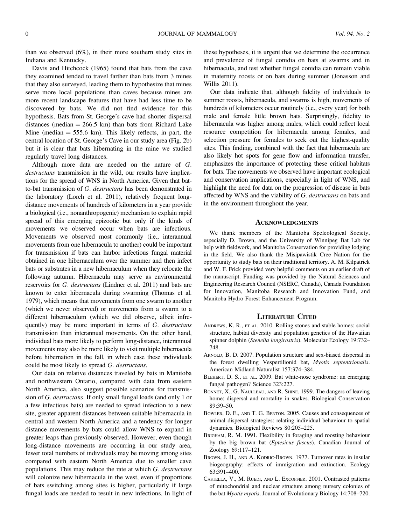than we observed (6%), in their more southern study sites in Indiana and Kentucky.

Davis and Hitchcock (1965) found that bats from the cave they examined tended to travel farther than bats from 3 mines that they also surveyed, leading them to hypothesize that mines serve more local populations than caves because mines are more recent landscape features that have had less time to be discovered by bats. We did not find evidence for this hypothesis. Bats from St. George's cave had shorter dispersal distances (median  $= 266.5$  km) than bats from Richard Lake Mine (median  $= 555.6$  km). This likely reflects, in part, the central location of St. George's Cave in our study area (Fig. 2b) but it is clear that bats hibernating in the mine we studied regularly travel long distances.

Although more data are needed on the nature of G. destructans transmission in the wild, our results have implications for the spread of WNS in North America. Given that batto-bat transmission of G. destructans has been demonstrated in the laboratory (Lorch et al. 2011), relatively frequent longdistance movements of hundreds of kilometers in a year provide a biological (i.e., nonanthropogenic) mechanism to explain rapid spread of this emerging epizootic but only if the kinds of movements we observed occur when bats are infectious. Movements we observed most commonly (i.e., interannual movements from one hibernacula to another) could be important for transmission if bats can harbor infectious fungal material obtained in one hibernaculum over the summer and then infect bats or substrates in a new hibernaculum when they relocate the following autumn. Hibernacula may serve as environmental reservoirs for G. destructans (Lindner et al. 2011) and bats are known to enter hibernacula during swarming (Thomas et al. 1979), which means that movements from one swarm to another (which we never observed) or movements from a swarm to a different hibernaculum (which we did observe, albeit infrequently) may be more important in terms of G. destructans transmission than interannual movements. On the other hand, individual bats more likely to perform long-distance, interannual movements may also be more likely to visit multiple hibernacula before hibernation in the fall, in which case these individuals could be most likely to spread G. destructans.

Our data on relative distances traveled by bats in Manitoba and northwestern Ontario, compared with data from eastern North America, also suggest possible scenarios for transmission of G. destructans. If only small fungal loads (and only 1 or a few infectious bats) are needed to spread infection to a new site, greater apparent distances between suitable hibernacula in central and western North America and a tendency for longer distance movements by bats could allow WNS to expand in greater leaps than previously observed. However, even though long-distance movements are occurring in our study area, fewer total numbers of individuals may be moving among sites compared with eastern North America due to smaller cave populations. This may reduce the rate at which  $G$ . *destructans* will colonize new hibernacula in the west, even if proportions of bats switching among sites is higher, particularly if large fungal loads are needed to result in new infections. In light of these hypotheses, it is urgent that we determine the occurrence and prevalence of fungal conidia on bats at swarms and in hibernacula, and test whether fungal conidia can remain viable in maternity roosts or on bats during summer (Jonasson and Willis 2011).

Our data indicate that, although fidelity of individuals to summer roosts, hibernacula, and swarms is high, movements of hundreds of kilometers occur routinely (i.e., every year) for both male and female little brown bats. Surprisingly, fidelity to hibernacula was higher among males, which could reflect local resource competition for hibernacula among females, and selection pressure for females to seek out the highest-quality sites. This finding, combined with the fact that hibernacula are also likely hot spots for gene flow and information transfer, emphasizes the importance of protecting these critical habitats for bats. The movements we observed have important ecological and conservation implications, especially in light of WNS, and highlight the need for data on the progression of disease in bats affected by WNS and the viability of G. destructans on bats and in the environment throughout the year.

### **ACKNOWLEDGMENTS**

We thank members of the Manitoba Speleological Society, especially D. Brown, and the University of Winnipeg Bat Lab for help with fieldwork, and Manitoba Conservation for providing lodging in the field. We also thank the Misipawistik Cree Nation for the opportunity to study bats on their traditional territory. A. M. Kilpatrick and W. F. Frick provided very helpful comments on an earlier draft of the manuscript. Funding was provided by the Natural Sciences and Engineering Research Council (NSERC, Canada), Canada Foundation for Innovation, Manitoba Research and Innovation Fund, and Manitoba Hydro Forest Enhancement Program.

## LITERATURE CITED

- ANDREWS, K. R., ET AL. 2010. Rolling stones and stable homes: social structure, habitat diversity and population genetics of the Hawaiian spinner dolphin (Stenella longirostris). Molecular Ecology 19:732– 748.
- ARNOLD, B. D. 2007. Population structure and sex-biased dispersal in the forest dwelling Vespertilionid bat, Myotis septentrionalis. American Midland Naturalist 157:374–384.
- BLEHERT, D. S., ET AL. 2009. Bat white-nose syndrome: an emerging fungal pathogen? Science 323:227.
- BONNET, X., G. NAULLEAU, AND R. SHINE. 1999. The dangers of leaving home: dispersal and mortality in snakes. Biological Conservation 89:39–50.
- BOWLER, D. E., AND T. G. BENTON. 2005. Causes and consequences of animal dispersal strategies: relating individual behaviour to spatial dynamics. Biological Reviews 80:205–225.
- BRIGHAM, R. M. 1991. Flexibility in foraging and roosting behaviour by the big brown bat (Eptesicus fuscus). Canadian Journal of Zoology 69:117–121.
- BROWN, J. H., AND A. KODRIC-BROWN. 1977. Turnover rates in insular biogeography: effects of immigration and extinction. Ecology 63:391–400.
- CASTELLA, V., M. RUEDI, AND L. EXCOFFIER. 2001. Contrasted patterns of mitochondrial and nuclear structure among nursery colonies of the bat Myotis myotis. Journal of Evolutionary Biology 14:708–720.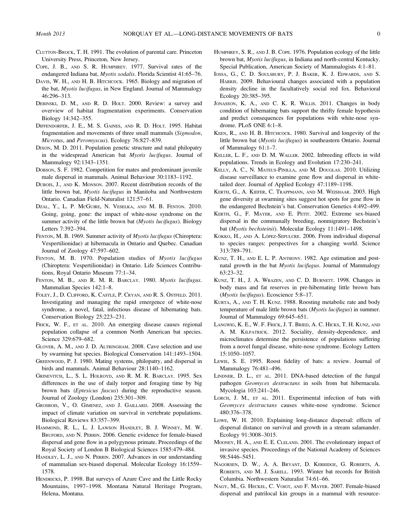- CLUTTON-BROCK, T. H. 1991. The evolution of parental care. Princeton University Press, Princeton, New Jersey.
- COPE, J. B., AND S. R. HUMPHREY. 1977. Survival rates of the endangered Indiana bat, Myotis sodalis. Florida Scientist 41:65–76.
- DAVIS, W. H., AND H. B. HITCHCOCK. 1965. Biology and migration of the bat, Myotis lucifugus, in New England. Journal of Mammalogy 46:296–313.
- DEBINSKI, D. M., AND R. D. HOLT. 2000. Review: a survey and overview of habitat fragmentation experiments. Conservation Biology 14:342–355.
- DIFFENDORFER, J. E., M. S. GAINES, AND R. D. HOLT. 1995. Habitat fragmentation and movements of three small mammals (Sigmodon, Microtus, and Peromyscus). Ecology 76:827–839.
- DIXON, M. D. 2011. Population genetic structure and natal philopatry in the widespread American bat Myotis lucifugus. Journal of Mammalogy 92:1343–1351.
- DOBSON, S. F. 1982. Competition for mates and predominant juvenile male dispersal in mammals. Animal Behaviour 30:1183–1192.
- DUBOIS, J., AND K. MONSON. 2007. Recent distribution records of the little brown bat, Myotis lucifugus in Manitoba and Northwestern Ontario. Canadian Field-Naturalist 121:57–61.
- DZAL, Y., L. P. MCGUIRE, N. VESELKA, AND M. B. FENTON. 2010. Going, going, gone: the impact of white-nose syndrome on the summer activity of the little brown bat (Myotis lucifugus). Biology Letters 7:392–394.
- FENTON, M. B. 1969. Summer activity of Myotis lucifugus (Chiroptera: Vespertilionidae) at hibernacula in Ontario and Quebec. Canadian Journal of Zoology 47:597–602.
- FENTON, M. B. 1970. Population studies of Myotis lucifugus (Chiroptera: Vespertilionidae) in Ontario. Life Sciences Contributions, Royal Ontario Museum 77:1–34.
- FENTON, M. B., AND R. M. R. BARCLAY. 1980. Myotis lucifugus. Mammalian Species 142:1–8.
- FOLEY, J., D. CLIFFORD, K. CASTLE, P. CRYAN, AND R. S. OSTFELD. 2011. Investigating and managing the rapid emergence of white-nose syndrome, a novel, fatal, infectious disease of hibernating bats. Conservation Biology 25:223–231.
- FRICK, W. F., ET AL. 2010. An emerging disease causes regional population collapse of a common North American bat species. Science 329:679–682.
- GLOVER, A. M., AND J. D. ALTRINGHAM. 2008. Cave selection and use by swarming bat species. Biological Conservation 141:1493–1504.
- GREENWOOD, P. J. 1980. Mating systems, philopatry, and dispersal in birds and mammals. Animal Behaviour 28:1140–1162.
- GRINEVITCH, L., S. L. HOLROYD, AND R. M. R. BARCLAY. 1995. Sex differences in the use of daily torpor and foraging time by big brown bats (*Eptesicus fuscus*) during the reproductive season. Journal of Zoology (London) 235:301–309.
- GROSBOIS, V., O. GIMENEZ, AND J. GAILLARD. 2008. Assessing the impact of climate variation on survival in vertebrate populations. Biological Reviews 83:357–399.
- HAMMOND, R. L., L. J. LAWSON HANDLEY, B. J. WINNEY, M. W. BRUFORD, AND N. PERRIN. 2006. Genetic evidence for female-biased dispersal and gene flow in a polygynous primate. Proceedings of the Royal Society of London B Biological Sciences 1585:479–484.
- HANDLEY, L. J., AND N. PERRIN. 2007. Advances in our understanding of mammalian sex-biased dispersal. Molecular Ecology 16:1559– 1578.
- HENDRICKS, P. 1998. Bat surveys of Azure Cave and the Little Rocky Mountains, 1997–1998. Montana Natural Heritage Program, Helena, Montana.
- HUMPHREY, S. R., AND J. B. COPE. 1976. Population ecology of the little brown bat, Myotis lucifugus, in Indiana and north-central Kentucky. Special Publication, American Society of Mammalogists 4:1–81.
- IOSSA, G., C. D. SOULSBURY, P. J. BAKER, K. J. EDWARDS, AND S. HARRIS. 2009. Behavioural changes associated with a population density decline in the facultatively social red fox. Behavioral Ecology 20:385–395.
- JONASSON, K. A., AND C. K. R. WILLIS. 2011. Changes in body condition of hibernating bats support the thrifty female hypothesis and predict consequences for populations with white-nose syndrome. PLoS ONE 6:1–8.
- KEEN, R., AND H. B. HITCHCOCK. 1980. Survival and longevity of the little brown bat (Myotis lucifugus) in southeastern Ontario. Journal of Mammalogy 61:1–7.
- KELLER, L. F., AND D. M. WALLER. 2002. Inbreeding effects in wild populations. Trends in Ecology and Evolution 17:230–241.
- KELLY, A. C., N. MATEUS-PINILLA, AND M. DOUGLAS. 2010. Utilizing disease surveillance to examine gene flow and dispersal in whitetailed deer. Journal of Applied Ecology 47:1189–1198.
- KERTH, G., A. KIEFER, C. TRAPPMANN, AND M. WEISHAAR. 2003. High gene diversity at swarming sites suggest hot spots for gene flow in the endangered Bechstein's bat. Conservation Genetics 4:492–499.
- KERTH, G., F. MAYER, AND E. PETIT. 2002. Extreme sex-biased dispersal in the communally breeding, nonmigratory Bechstein's bat (Myotis bechsteinii). Molecular Ecology 11:1491–1498.
- KOKKO, H., AND A. LÓPEZ-SEPULCRE. 2006. From individual dispersal to species ranges: perspectives for a changing world. Science 313:789–791.
- KUNZ, T. H., AND E. L. P. ANTHONY. 1982. Age estimation and postnatal growth in the bat Myotis lucifugus. Journal of Mammalogy 63:23–32.
- KUNZ, T. H., J. A. WRAZEN, AND C. D. BURNETT. 1998. Changes in body mass and fat reserves in pre-hibernating little brown bats (Myotis lucifugus). Ecoscience 5:8–17.
- KURTA, A., AND T. H. KUNZ. 1988. Roosting metabolic rate and body temperature of male little brown bats (Myotis lucifugus) in summer. Journal of Mammalogy 69:645–651.
- LANGWIG, K. E., W. F. FRICK, J. T. BRIED, A. C. HICKS, T. H. KUNZ, AND A. M. KILPATRICK. 2012. Sociality, density-dependence, and microclimates determine the persistence of populations suffering from a novel fungal disease, white-nose syndrome. Ecology Letters 15:1050–1057.
- LEWIS, S. E. 1995. Roost fidelity of bats: a review. Journal of Mammalogy 76:481–496.
- LINDNER, D. L., ET AL. 2011. DNA-based detection of the fungal pathogen Geomyces destructans in soils from bat hibernacula. Mycologia 103:241–246.
- LORCH, J. M., ET AL. 2011. Experimental infection of bats with Geomyces destructans causes white-nose syndrome. Science 480:376–378.
- LOWE, W. H. 2010. Explaining long-distance dispersal: effects of dispersal distance on survival and growth in a stream salamander. Ecology 91:3008–3015.
- MOONEY, H. A., AND E. E. CLELAND. 2001. The evolutionary impact of invasive species. Proceedings of the National Academy of Sciences 98:5446–5451.
- NAGORSEN, D. W., A. A. BRYANT, D. KERRIDGE, G. ROBERTS, A. ROBERTS, AND M. J. SARELL. 1993. Winter bat records for British Columbia. Northwestern Naturalist 74:61–66.
- NAGY, M., G. HECKEL, C. VOIGT, AND F. MAYER. 2007. Female-biased dispersal and patrilocal kin groups in a mammal with resource-